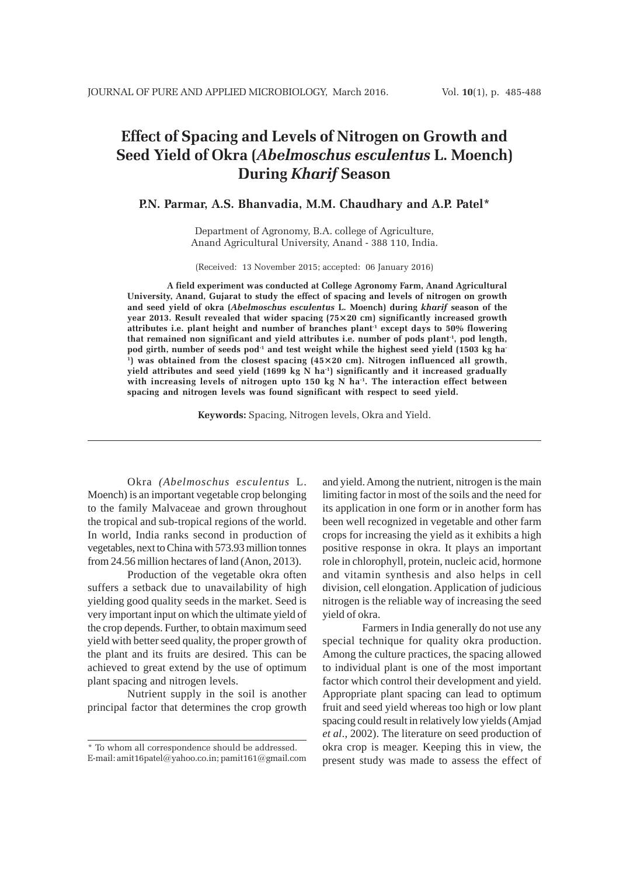# **Effect of Spacing and Levels of Nitrogen on Growth and Seed Yield of Okra (***Abelmoschus esculentus* **L. Moench) During** *Kharif* **Season**

## **P.N. Parmar, A.S. Bhanvadia, M.M. Chaudhary and A.P. Patel\***

Department of Agronomy, B.A. college of Agriculture, Anand Agricultural University, Anand - 388 110, India.

(Received: 13 November 2015; accepted: 06 January 2016)

**A field experiment was conducted at College Agronomy Farm, Anand Agricultural University, Anand, Gujarat to study the effect of spacing and levels of nitrogen on growth and seed yield of okra (***Abelmoschus esculentus* **L. Moench) during** *kharif* **season of the year 2013. Result revealed that wider spacing (75×20 cm) significantly increased growth** attributes i.e. plant height and number of branches plant<sup>1</sup> except days to 50% flowering **that remained non significant and yield attributes i.e. number of pods plant-1, pod length,** pod girth, number of seeds pod<sup>-1</sup> and test weight while the highest seed yield (1503 kg ha<sup>-</sup> **1) was obtained from the closest spacing (45×20 cm). Nitrogen influenced all growth, yield attributes and seed yield (1699 kg N ha-1) significantly and it increased gradually** with increasing levels of nitrogen upto 150 kg N ha<sup>-1</sup>. The interaction effect between **spacing and nitrogen levels was found significant with respect to seed yield.**

**Keywords:** Spacing, Nitrogen levels, Okra and Yield.

Okra *(Abelmoschus esculentus* L. Moench) is an important vegetable crop belonging to the family Malvaceae and grown throughout the tropical and sub-tropical regions of the world. In world, India ranks second in production of vegetables, next to China with 573.93 million tonnes from 24.56 million hectares of land (Anon, 2013).

Production of the vegetable okra often suffers a setback due to unavailability of high yielding good quality seeds in the market. Seed is very important input on which the ultimate yield of the crop depends. Further, to obtain maximum seed yield with better seed quality, the proper growth of the plant and its fruits are desired. This can be achieved to great extend by the use of optimum plant spacing and nitrogen levels.

Nutrient supply in the soil is another principal factor that determines the crop growth and yield. Among the nutrient, nitrogen is the main limiting factor in most of the soils and the need for its application in one form or in another form has been well recognized in vegetable and other farm crops for increasing the yield as it exhibits a high positive response in okra. It plays an important role in chlorophyll, protein, nucleic acid, hormone and vitamin synthesis and also helps in cell division, cell elongation. Application of judicious nitrogen is the reliable way of increasing the seed yield of okra.

Farmers in India generally do not use any special technique for quality okra production. Among the culture practices, the spacing allowed to individual plant is one of the most important factor which control their development and yield. Appropriate plant spacing can lead to optimum fruit and seed yield whereas too high or low plant spacing could result in relatively low yields (Amjad *et al*., 2002). The literature on seed production of okra crop is meager. Keeping this in view, the present study was made to assess the effect of

<sup>\*</sup> To whom all correspondence should be addressed. E-mail: amit16patel@yahoo.co.in; pamit161@gmail.com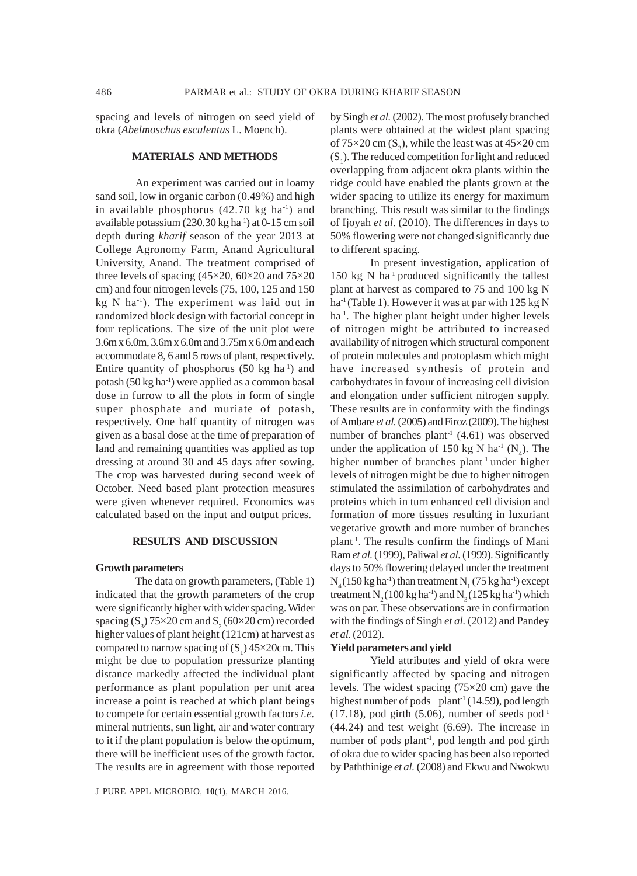spacing and levels of nitrogen on seed yield of okra (*Abelmoschus esculentus* L. Moench).

## **MATERIALS AND METHODS**

An experiment was carried out in loamy sand soil, low in organic carbon (0.49%) and high in available phosphorus  $(42.70 \text{ kg} \text{ ha}^{-1})$  and available potassium (230.30 kg ha-1) at 0-15 cm soil depth during *kharif* season of the year 2013 at College Agronomy Farm, Anand Agricultural University, Anand. The treatment comprised of three levels of spacing (45×20, 60×20 and 75×20 cm) and four nitrogen levels (75, 100, 125 and 150 kg N ha-1). The experiment was laid out in randomized block design with factorial concept in four replications. The size of the unit plot were 3.6m x 6.0m, 3.6m x 6.0m and 3.75m x 6.0m and each accommodate 8, 6 and 5 rows of plant, respectively. Entire quantity of phosphorus  $(50 \text{ kg} \text{ ha}^{-1})$  and potash  $(50 \text{ kg ha}^{-1})$  were applied as a common basal dose in furrow to all the plots in form of single super phosphate and muriate of potash, respectively. One half quantity of nitrogen was given as a basal dose at the time of preparation of land and remaining quantities was applied as top dressing at around 30 and 45 days after sowing. The crop was harvested during second week of October. Need based plant protection measures were given whenever required. Economics was calculated based on the input and output prices.

#### **RESULTS AND DISCUSSION**

#### **Growth parameters**

The data on growth parameters, (Table 1) indicated that the growth parameters of the crop were significantly higher with wider spacing. Wider spacing  $(S_3)$  75×20 cm and  $S_2$  (60×20 cm) recorded higher values of plant height (121cm) at harvest as compared to narrow spacing of  $(S_1)$  45×20cm. This might be due to population pressurize planting distance markedly affected the individual plant performance as plant population per unit area increase a point is reached at which plant beings to compete for certain essential growth factors *i.e.* mineral nutrients, sun light, air and water contrary to it if the plant population is below the optimum, there will be inefficient uses of the growth factor. The results are in agreement with those reported

by Singh *et al.* (2002). The most profusely branched plants were obtained at the widest plant spacing of  $75\times20$  cm (S<sub>3</sub>), while the least was at  $45\times20$  cm  $(S_1)$ . The reduced competition for light and reduced overlapping from adjacent okra plants within the ridge could have enabled the plants grown at the wider spacing to utilize its energy for maximum branching. This result was similar to the findings of Ijoyah *et al*. (2010). The differences in days to 50% flowering were not changed significantly due to different spacing.

In present investigation, application of 150 kg N ha<sup> $1$ </sup> produced significantly the tallest plant at harvest as compared to 75 and 100 kg N ha<sup>-1</sup> (Table 1). However it was at par with  $125 \text{ kg N}$ ha<sup>-1</sup>. The higher plant height under higher levels of nitrogen might be attributed to increased availability of nitrogen which structural component of protein molecules and protoplasm which might have increased synthesis of protein and carbohydrates in favour of increasing cell division and elongation under sufficient nitrogen supply. These results are in conformity with the findings of Ambare *et al.* (2005) and Firoz (2009). The highest number of branches plant<sup>-1</sup> (4.61) was observed under the application of 150 kg N ha<sup>-1</sup> (N<sub>4</sub>). The higher number of branches plant<sup>-1</sup> under higher levels of nitrogen might be due to higher nitrogen stimulated the assimilation of carbohydrates and proteins which in turn enhanced cell division and formation of more tissues resulting in luxuriant vegetative growth and more number of branches plant-1. The results confirm the findings of Mani Ram *et al.* (1999), Paliwal *et al.* (1999). Significantly days to 50% flowering delayed under the treatment  $N_4$ (150 kg ha<sup>-1</sup>) than treatment  $N_1$  (75 kg ha<sup>-1</sup>) except treatment N<sub>2</sub> (100 kg ha<sup>-1</sup>) and N<sub>2</sub> (125 kg ha<sup>-1</sup>) which was on par. These observations are in confirmation with the findings of Singh *et al.* (2012) and Pandey *et al.* (2012).

#### **Yield parameters and yield**

Yield attributes and yield of okra were significantly affected by spacing and nitrogen levels. The widest spacing (75×20 cm) gave the highest number of pods plant<sup>1</sup> (14.59), pod length  $(17.18)$ , pod girth  $(5.06)$ , number of seeds pod<sup>-1</sup> (44.24) and test weight (6.69). The increase in number of pods plant<sup>1</sup>, pod length and pod girth of okra due to wider spacing has been also reported by Paththinige *et al.* (2008) and Ekwu and Nwokwu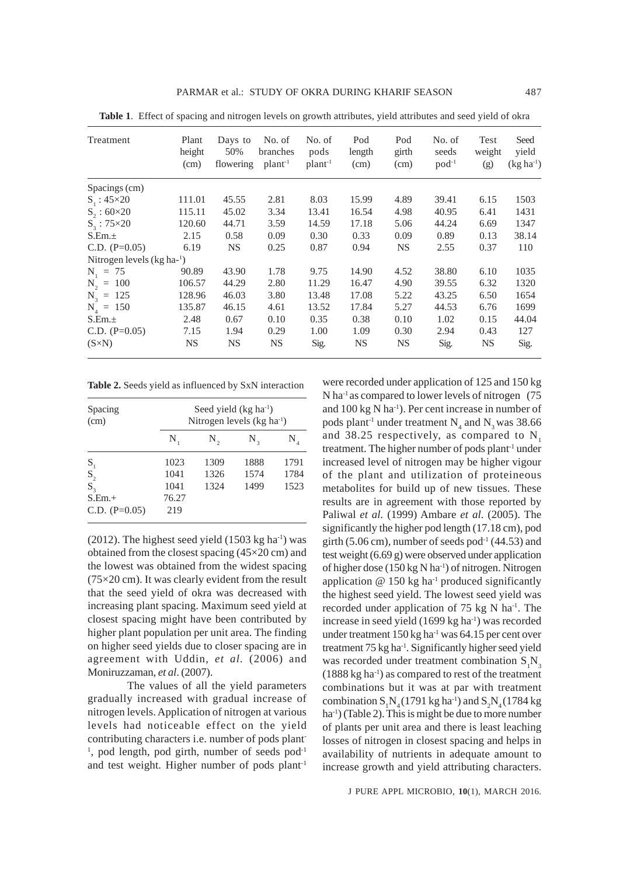| Treatment                   | Plant<br>height<br>(cm) | Days to<br>50%<br>flowering | No. of<br>branches<br>$plant^{-1}$ | No. of<br>pods<br>$plant^{-1}$ | Pod<br>length<br>(cm) | Pod<br>girth<br>(cm) | No. of<br>seeds<br>$pod^{-1}$ | Test<br>weight<br>(g) | Seed<br>vield<br>$(kg ha^{-1})$ |
|-----------------------------|-------------------------|-----------------------------|------------------------------------|--------------------------------|-----------------------|----------------------|-------------------------------|-----------------------|---------------------------------|
| Spacings (cm)               |                         |                             |                                    |                                |                       |                      |                               |                       |                                 |
| $S_1$ : 45×20               | 111.01                  | 45.55                       | 2.81                               | 8.03                           | 15.99                 | 4.89                 | 39.41                         | 6.15                  | 1503                            |
| $S_{2}$ : 60×20             | 115.11                  | 45.02                       | 3.34                               | 13.41                          | 16.54                 | 4.98                 | 40.95                         | 6.41                  | 1431                            |
| $S_3$ : 75×20               | 120.60                  | 44.71                       | 3.59                               | 14.59                          | 17.18                 | 5.06                 | 44.24                         | 6.69                  | 1347                            |
| S.Em.±                      | 2.15                    | 0.58                        | 0.09                               | 0.30                           | 0.33                  | 0.09                 | 0.89                          | 0.13                  | 38.14                           |
| C.D. $(P=0.05)$             | 6.19                    | <b>NS</b>                   | 0.25                               | 0.87                           | 0.94                  | <b>NS</b>            | 2.55                          | 0.37                  | 110                             |
| Nitrogen levels $(kg ha-1)$ |                         |                             |                                    |                                |                       |                      |                               |                       |                                 |
| $N_1 = 75$                  | 90.89                   | 43.90                       | 1.78                               | 9.75                           | 14.90                 | 4.52                 | 38.80                         | 6.10                  | 1035                            |
| $N_2 = 100$                 | 106.57                  | 44.29                       | 2.80                               | 11.29                          | 16.47                 | 4.90                 | 39.55                         | 6.32                  | 1320                            |
| $N_3 = 125$                 | 128.96                  | 46.03                       | 3.80                               | 13.48                          | 17.08                 | 5.22                 | 43.25                         | 6.50                  | 1654                            |
| $N_{4} = 150$               | 135.87                  | 46.15                       | 4.61                               | 13.52                          | 17.84                 | 5.27                 | 44.53                         | 6.76                  | 1699                            |
| S.Em.±                      | 2.48                    | 0.67                        | 0.10                               | 0.35                           | 0.38                  | 0.10                 | 1.02                          | 0.15                  | 44.04                           |
| C.D. $(P=0.05)$             | 7.15                    | 1.94                        | 0.29                               | 1.00                           | 1.09                  | 0.30                 | 2.94                          | 0.43                  | 127                             |
| $(S\times N)$               | NS                      | NS.                         | NS.                                | Sig.                           | NS                    | <b>NS</b>            | Sig.                          | NS                    | Sig.                            |

**Table 1**. Effect of spacing and nitrogen levels on growth attributes, yield attributes and seed yield of okra

| Table 2. Seeds yield as influenced by SxN interaction |  |  |  |  |  |
|-------------------------------------------------------|--|--|--|--|--|
|-------------------------------------------------------|--|--|--|--|--|

| Spacing                                | Seed yield $(kg ha-1)$      |              |      |      |  |  |  |
|----------------------------------------|-----------------------------|--------------|------|------|--|--|--|
| (cm)                                   | Nitrogen levels $(kg ha-1)$ |              |      |      |  |  |  |
|                                        | N                           | $N_{\alpha}$ | N,   | N,   |  |  |  |
| $S_{1}$                                | 1023                        | 1309         | 1888 | 1791 |  |  |  |
| $\mathbf{S}_{\scriptscriptstyle{2}}$   | 1041                        | 1326         | 1574 | 1784 |  |  |  |
| $S_{3}$<br>$S.Em.+$<br>C.D. $(P=0.05)$ | 1041<br>76.27<br>219        | 1324         | 1499 | 1523 |  |  |  |

(2012). The highest seed yield  $(1503 \text{ kg ha}^{-1})$  was obtained from the closest spacing (45×20 cm) and the lowest was obtained from the widest spacing (75×20 cm). It was clearly evident from the result that the seed yield of okra was decreased with increasing plant spacing. Maximum seed yield at closest spacing might have been contributed by higher plant population per unit area. The finding on higher seed yields due to closer spacing are in agreement with Uddin, *et al.* (2006) and Moniruzzaman, *et al*. (2007).

The values of all the yield parameters gradually increased with gradual increase of nitrogen levels. Application of nitrogen at various levels had noticeable effect on the yield contributing characters i.e. number of pods plant- $1$ , pod length, pod girth, number of seeds pod $1$ and test weight. Higher number of pods plant<sup>-1</sup>

were recorded under application of 125 and 150 kg N ha<sup>1</sup> as compared to lower levels of nitrogen (75) and  $100 \text{ kg N}$  ha<sup>-1</sup>). Per cent increase in number of pods plant<sup>-1</sup> under treatment  $N_4$  and  $N_3$  was 38.66 and 38.25 respectively, as compared to  $N<sub>1</sub>$ treatment. The higher number of pods plant<sup>1</sup> under increased level of nitrogen may be higher vigour of the plant and utilization of proteineous metabolites for build up of new tissues. These results are in agreement with those reported by Paliwal *et al.* (1999) Ambare *et al*. (2005). The significantly the higher pod length (17.18 cm), pod girth (5.06 cm), number of seeds pod $-1$  (44.53) and test weight (6.69 g) were observed under application of higher dose (150 kg N ha-1) of nitrogen. Nitrogen application  $@$  150 kg ha<sup>-1</sup> produced significantly the highest seed yield. The lowest seed yield was recorded under application of 75 kg N ha<sup>-1</sup>. The increase in seed yield (1699 kg ha<sup>-1</sup>) was recorded under treatment 150 kg ha<sup>-1</sup> was 64.15 per cent over treatment 75 kg ha-1. Significantly higher seed yield was recorded under treatment combination  $S_1N_3$ (1888 kg ha-1) as compared to rest of the treatment combinations but it was at par with treatment combination  $S_1N_4$  (1791 kg ha<sup>-1</sup>) and  $S_2N_4$  (1784 kg ha<sup>-1</sup>) (Table 2). This is might be due to more number of plants per unit area and there is least leaching losses of nitrogen in closest spacing and helps in availability of nutrients in adequate amount to increase growth and yield attributing characters.

J PURE APPL MICROBIO*,* **10**(1), MARCH 2016.